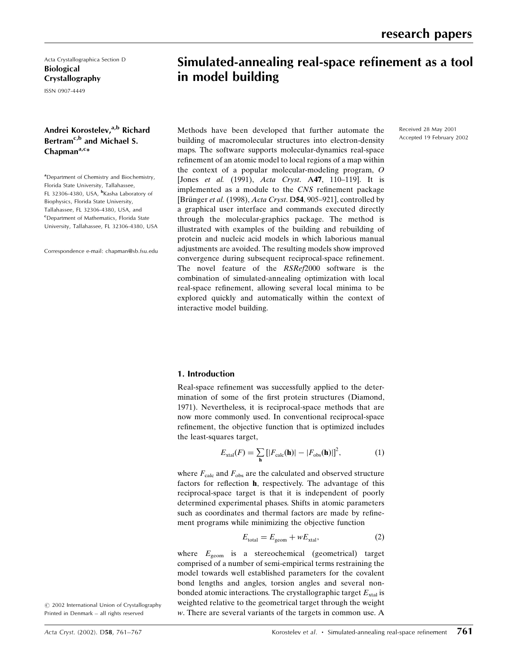Acta Crystallographica Section D Biological Crystallography

ISSN 0907-4449

# Andrei Korostelev.<sup>a,b</sup> Richard Bertram<sup>c,b</sup> and Michael S.  $Chapman<sup>a,c</sup>$

<sup>a</sup> Department of Chemistry and Biochemistry, Florida State University, Tallahassee, FL 32306-4380, USA, <sup>b</sup>Kasha Laboratory of Biophysics, Florida State University, Tallahassee, FL 32306-4380, USA, and c Department of Mathematics, Florida State University, Tallahassee, FL 32306-4380, USA

Correspondence e-mail: chapman@sb.fsu.edu

# Simulated-annealing real-space refinement as a tool in model building

Received 28 May 2001 Accepted 19 February 2002

Methods have been developed that further automate the building of macromolecular structures into electron-density maps. The software supports molecular-dynamics real-space refinement of an atomic model to local regions of a map within the context of a popular molecular-modeling program, O [Jones et al.  $(1991)$ , Acta Cryst. A47, 110-119]. It is implemented as a module to the CNS refinement package [Brünger et al. (1998), Acta Cryst. D54, 905-921], controlled by a graphical user interface and commands executed directly through the molecular-graphics package. The method is illustrated with examples of the building and rebuilding of protein and nucleic acid models in which laborious manual adjustments are avoided. The resulting models show improved convergence during subsequent reciprocal-space refinement. The novel feature of the RSRef2000 software is the combination of simulated-annealing optimization with local real-space refinement, allowing several local minima to be explored quickly and automatically within the context of interactive model building.

# 1. Introduction

Real-space refinement was successfully applied to the determination of some of the first protein structures (Diamond, 1971). Nevertheless, it is reciprocal-space methods that are now more commonly used. In conventional reciprocal-space refinement, the objective function that is optimized includes the least-squares target,

$$
E_{\text{xtal}}(F) = \sum_{\mathbf{h}} \left[ |F_{\text{calc}}(\mathbf{h})| - |F_{\text{obs}}(\mathbf{h})| \right]^2, \tag{1}
$$

where  $F_{\text{calc}}$  and  $F_{\text{obs}}$  are the calculated and observed structure factors for reflection **, respectively. The advantage of this** reciprocal-space target is that it is independent of poorly determined experimental phases. Shifts in atomic parameters such as coordinates and thermal factors are made by refinement programs while minimizing the objective function

$$
E_{\text{total}} = E_{\text{geom}} + wE_{\text{xtal}},\tag{2}
$$

where  $E_{\text{geom}}$  is a stereochemical (geometrical) target comprised of a number of semi-empirical terms restraining the model towards well established parameters for the covalent bond lengths and angles, torsion angles and several nonbonded atomic interactions. The crystallographic target  $E_{\text{xtal}}$  is weighted relative to the geometrical target through the weight w. There are several variants of the targets in common use. A

 $©$  2002 International Union of Crystallography Printed in Denmark - all rights reserved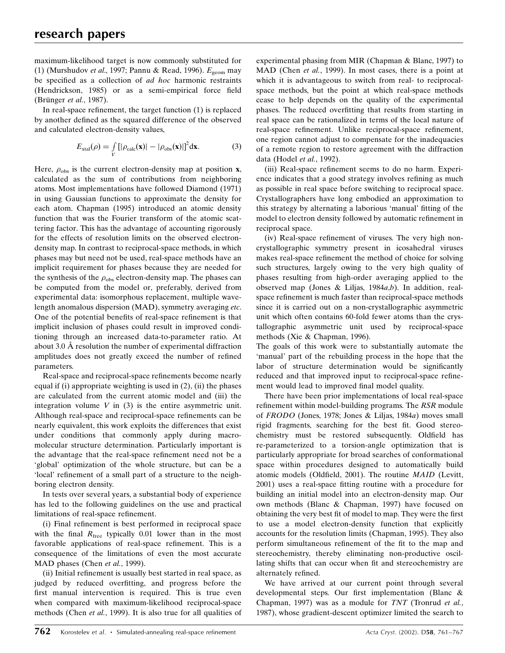maximum-likelihood target is now commonly substituted for (1) (Murshudov et al., 1997; Pannu & Read, 1996).  $E_{\text{geom}}$  may be specified as a collection of ad hoc harmonic restraints (Hendrickson, 1985) or as a semi-empirical force field (Brünger *et al.*, 1987).

In real-space refinement, the target function  $(1)$  is replaced by another defined as the squared difference of the observed and calculated electron-density values,

$$
E_{\text{xtal}}(\rho) = \int\limits_V \left[ |\rho_{\text{calc}}(\mathbf{x})| - |\rho_{\text{obs}}(\mathbf{x})| \right]^2 \mathrm{d}\mathbf{x}.
$$
 (3)

Here,  $\rho_{\rm obs}$  is the current electron-density map at position **x**, calculated as the sum of contributions from neighboring atoms. Most implementations have followed Diamond (1971) in using Gaussian functions to approximate the density for each atom. Chapman (1995) introduced an atomic density function that was the Fourier transform of the atomic scattering factor. This has the advantage of accounting rigorously for the effects of resolution limits on the observed electrondensity map. In contrast to reciprocal-space methods, in which phases may but need not be used, real-space methods have an implicit requirement for phases because they are needed for the synthesis of the  $\rho_{obs}$  electron-density map. The phases can be computed from the model or, preferably, derived from experimental data: isomorphous replacement, multiple wavelength anomalous dispersion (MAD), symmetry averaging etc. One of the potential benefits of real-space refinement is that implicit inclusion of phases could result in improved conditioning through an increased data-to-parameter ratio. At about  $3.0 \text{ Å}$  resolution the number of experimental diffraction amplitudes does not greatly exceed the number of refined parameters.

Real-space and reciprocal-space refinements become nearly equal if (i) appropriate weighting is used in  $(2)$ , (ii) the phases are calculated from the current atomic model and (iii) the integration volume  $V$  in (3) is the entire asymmetric unit. Although real-space and reciprocal-space refinements can be nearly equivalent, this work exploits the differences that exist under conditions that commonly apply during macromolecular structure determination. Particularly important is the advantage that the real-space refinement need not be a `global' optimization of the whole structure, but can be a 'local' refinement of a small part of a structure to the neighboring electron density.

In tests over several years, a substantial body of experience has led to the following guidelines on the use and practical limitations of real-space refinement.

(i) Final refinement is best performed in reciprocal space with the final  $R_{\text{free}}$  typically 0.01 lower than in the most favorable applications of real-space refinement. This is a consequence of the limitations of even the most accurate MAD phases (Chen et al., 1999).

(ii) Initial refinement is usually best started in real space, as judged by reduced overfitting, and progress before the first manual intervention is required. This is true even when compared with maximum-likelihood reciprocal-space methods (Chen et al., 1999). It is also true for all qualities of experimental phasing from MIR (Chapman & Blanc, 1997) to MAD (Chen et al., 1999). In most cases, there is a point at which it is advantageous to switch from real- to reciprocalspace methods, but the point at which real-space methods cease to help depends on the quality of the experimental phases. The reduced overfitting that results from starting in real space can be rationalized in terms of the local nature of real-space refinement. Unlike reciprocal-space refinement, one region cannot adjust to compensate for the inadequacies of a remote region to restore agreement with the diffraction data (Hodel et al., 1992).

(iii) Real-space refinement seems to do no harm. Experience indicates that a good strategy involves refining as much as possible in real space before switching to reciprocal space. Crystallographers have long embodied an approximation to this strategy by alternating a laborious 'manual' fitting of the model to electron density followed by automatic refinement in reciprocal space.

(iv) Real-space refinement of viruses. The very high noncrystallographic symmetry present in icosahedral viruses makes real-space refinement the method of choice for solving such structures, largely owing to the very high quality of phases resulting from high-order averaging applied to the observed map (Jones & Liljas, 1984 $a,b$ ). In addition, realspace refinement is much faster than reciprocal-space methods since it is carried out on a non-crystallographic asymmetric unit which often contains 60-fold fewer atoms than the crystallographic asymmetric unit used by reciprocal-space methods (Xie & Chapman, 1996).

The goals of this work were to substantially automate the `manual' part of the rebuilding process in the hope that the labor of structure determination would be significantly reduced and that improved input to reciprocal-space refinement would lead to improved final model quality.

There have been prior implementations of local real-space refinement within model-building programs. The RSR module of FRODO (Jones, 1978; Jones & Liljas, 1984a) moves small rigid fragments, searching for the best fit. Good stereochemistry must be restored subsequently. Oldfield has re-parameterized to a torsion-angle optimization that is particularly appropriate for broad searches of conformational space within procedures designed to automatically build atomic models (Oldfield, 2001). The routine MAID (Levitt, 2001) uses a real-space fitting routine with a procedure for building an initial model into an electron-density map. Our own methods (Blanc & Chapman, 1997) have focused on obtaining the very best fit of model to map. They were the first to use a model electron-density function that explicitly accounts for the resolution limits (Chapman, 1995). They also perform simultaneous refinement of the fit to the map and stereochemistry, thereby eliminating non-productive oscillating shifts that can occur when fit and stereochemistry are alternately refined.

We have arrived at our current point through several developmental steps. Our first implementation (Blanc  $\&$ Chapman, 1997) was as a module for TNT (Tronrud et al., 1987), whose gradient-descent optimizer limited the search to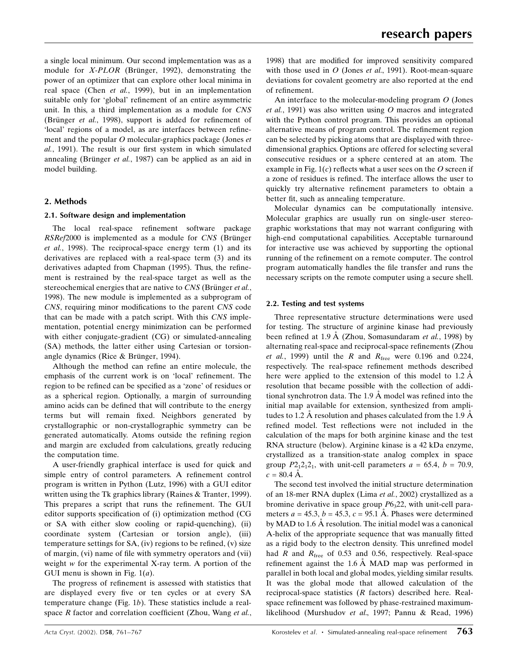a single local minimum. Our second implementation was as a module for  $X$ -PLOR (Brünger, 1992), demonstrating the power of an optimizer that can explore other local minima in real space (Chen et al., 1999), but in an implementation suitable only for 'global' refinement of an entire asymmetric unit. In this, a third implementation as a module for CNS (Brünger *et al.*, 1998), support is added for refinement of 'local' regions of a model, as are interfaces between refinement and the popular O molecular-graphics package (Jones et al., 1991). The result is our first system in which simulated annealing (Brünger et al., 1987) can be applied as an aid in model building.

# 2. Methods

## 2.1. Software design and implementation

The local real-space refinement software package  $RSRef2000$  is implemented as a module for  $CNS$  (Brünger et al., 1998). The reciprocal-space energy term (1) and its derivatives are replaced with a real-space term (3) and its derivatives adapted from Chapman (1995). Thus, the refinement is restrained by the real-space target as well as the stereochemical energies that are native to  $CNS$  (Brünger et al., 1998). The new module is implemented as a subprogram of CNS, requiring minor modifications to the parent CNS code that can be made with a patch script. With this CNS implementation, potential energy minimization can be performed with either conjugate-gradient (CG) or simulated-annealing (SA) methods, the latter either using Cartesian or torsionangle dynamics (Rice  $&$  Brünger, 1994).

Although the method can refine an entire molecule, the emphasis of the current work is on 'local' refinement. The region to be refined can be specified as a 'zone' of residues or as a spherical region. Optionally, a margin of surrounding amino acids can be defined that will contribute to the energy terms but will remain fixed. Neighbors generated by crystallographic or non-crystallographic symmetry can be generated automatically. Atoms outside the refining region and margin are excluded from calculations, greatly reducing the computation time.

A user-friendly graphical interface is used for quick and simple entry of control parameters. A refinement control program is written in Python (Lutz, 1996) with a GUI editor written using the Tk graphics library (Raines & Tranter, 1999). This prepares a script that runs the refinement. The GUI editor supports specification of (i) optimization method (CG or SA with either slow cooling or rapid-quenching), (ii) coordinate system (Cartesian or torsion angle), (iii) temperature settings for  $SA$ , (iv) regions to be refined, (v) size of margin, (vi) name of file with symmetry operators and (vii) weight w for the experimental X-ray term. A portion of the GUI menu is shown in Fig.  $1(a)$ .

The progress of refinement is assessed with statistics that are displayed every five or ten cycles or at every SA temperature change (Fig. 1b). These statistics include a realspace  $R$  factor and correlation coefficient (Zhou, Wang et al., 1998) that are modified for improved sensitivity compared with those used in  $O$  (Jones et al., 1991). Root-mean-square deviations for covalent geometry are also reported at the end of refinement.

An interface to the molecular-modeling program O (Jones et al., 1991) was also written using O macros and integrated with the Python control program. This provides an optional alternative means of program control. The refinement region can be selected by picking atoms that are displayed with threedimensional graphics. Options are offered for selecting several consecutive residues or a sphere centered at an atom. The example in Fig.  $1(c)$  reflects what a user sees on the O screen if a zone of residues is refined. The interface allows the user to quickly try alternative refinement parameters to obtain a better fit, such as annealing temperature.

Molecular dynamics can be computationally intensive. Molecular graphics are usually run on single-user stereographic workstations that may not warrant configuring with high-end computational capabilities. Acceptable turnaround for interactive use was achieved by supporting the optional running of the refinement on a remote computer. The control program automatically handles the file transfer and runs the necessary scripts on the remote computer using a secure shell.

## 2.2. Testing and test systems

Three representative structure determinations were used for testing. The structure of arginine kinase had previously been refined at 1.9  $\AA$  (Zhou, Somasundaram *et al.*, 1998) by alternating real-space and reciprocal-space refinements (Zhou et al., 1999) until the R and  $R_{\text{free}}$  were 0.196 and 0.224, respectively. The real-space refinement methods described here were applied to the extension of this model to  $1.2 \text{ Å}$ resolution that became possible with the collection of additional synchrotron data. The  $1.9 \text{ Å}$  model was refined into the initial map available for extension, synthesized from amplitudes to 1.2 A resolution and phases calculated from the 1.9  $\overline{A}$ refined model. Test reflections were not included in the calculation of the maps for both arginine kinase and the test RNA structure (below). Arginine kinase is a 42 kDa enzyme, crystallized as a transition-state analog complex in space group  $P2_12_12_1$ , with unit-cell parameters  $a = 65.4$ ,  $b = 70.9$ ,  $c = 80.4 \text{ Å}.$ 

The second test involved the initial structure determination of an 18-mer RNA duplex (Lima et al., 2002) crystallized as a bromine derivative in space group  $P6<sub>3</sub>22$ , with unit-cell parameters  $a = 45.3$ ,  $b = 45.3$ ,  $c = 95.1$  Å. Phases were determined by MAD to 1.6 A resolution. The initial model was a canonical A-helix of the appropriate sequence that was manually fitted as a rigid body to the electron density. This unrefined model had  $R$  and  $R_{\text{free}}$  of 0.53 and 0.56, respectively. Real-space refinement against the  $1.6 \text{ Å}$  MAD map was performed in parallel in both local and global modes, yielding similar results. It was the global mode that allowed calculation of the reciprocal-space statistics (R factors) described here. Realspace refinement was followed by phase-restrained maximumlikelihood (Murshudov et al., 1997; Pannu & Read, 1996)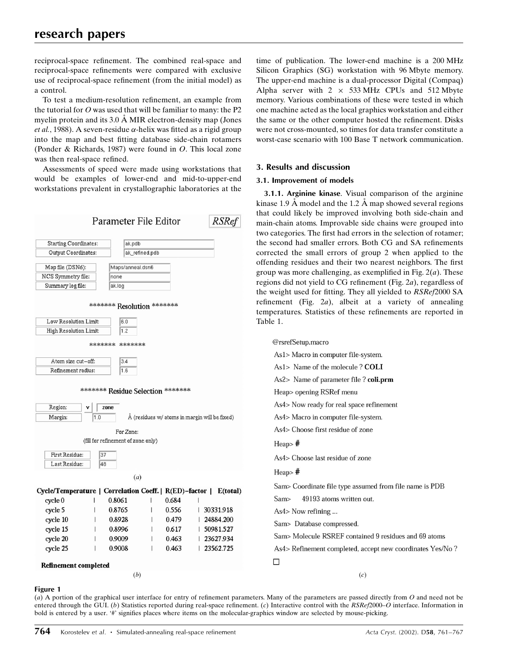reciprocal-space refinement. The combined real-space and reciprocal-space refinements were compared with exclusive use of reciprocal-space refinement (from the initial model) as a control.

To test a medium-resolution refinement, an example from the tutorial for  $O$  was used that will be familiar to many: the P2 myelin protein and its  $3.0 \text{ Å}$  MIR electron-density map (Jones et al., 1988). A seven-residue  $\alpha$ -helix was fitted as a rigid group into the map and best fitting database side-chain rotamers (Ponder & Richards, 1987) were found in O. This local zone was then real-space refined.

Assessments of speed were made using workstations that would be examples of lower-end and mid-to-upper-end workstations prevalent in crystallographic laboratories at the



time of publication. The lower-end machine is a 200 MHz Silicon Graphics (SG) workstation with 96 Mbyte memory. The upper-end machine is a dual-processor Digital (Compaq) Alpha server with  $2 \times 533 \text{ MHz}$  CPUs and 512 Mbyte memory. Various combinations of these were tested in which one machine acted as the local graphics workstation and either the same or the other computer hosted the refinement. Disks were not cross-mounted, so times for data transfer constitute a worst-case scenario with 100 Base T network communication.

# 3. Results and discussion

## 3.1. Improvement of models

3.1.1. Arginine kinase. Visual comparison of the arginine kinase 1.9 Å model and the 1.2 Å map showed several regions that could likely be improved involving both side-chain and main-chain atoms. Improvable side chains were grouped into two categories. The first had errors in the selection of rotamer; the second had smaller errors. Both CG and SA refinements corrected the small errors of group 2 when applied to the offending residues and their two nearest neighbors. The first group was more challenging, as exemplified in Fig.  $2(a)$ . These regions did not yield to  $CG$  refinement (Fig. 2a), regardless of the weight used for fitting. They all yielded to RSRef2000 SA refinement (Fig.  $2a$ ), albeit at a variety of annealing temperatures. Statistics of these refinements are reported in Table 1.

| @rsrefSetup.macro                                         |
|-----------------------------------------------------------|
| As1> Macro in computer file-system.                       |
| As1> Name of the molecule ? <b>COLI</b>                   |
| As2> Name of parameter file ? coli.prm                    |
| Heap> opening RSRef menu                                  |
| As4> Now ready for real space refinement                  |
| As4> Macro in computer file-system.                       |
| As4> Choose first residue of zone                         |
| $Heap$ $#$                                                |
| As4> Choose last residue of zone                          |
| Heap $#$                                                  |
| Sam> Coordinate file type assumed from file name is PDB   |
| 49193 atoms written out.<br>Sam>                          |
| As4> Now refining                                         |
| Sam> Database compressed.                                 |
| Sam> Molecule RSREF contained 9 residues and 69 atoms     |
| As4> Refinement completed, accept new coordinates Yes/No? |
|                                                           |
| (c)                                                       |
|                                                           |

## Figure 1

(a) A portion of the graphical user interface for entry of refinement parameters. Many of the parameters are passed directly from  $O$  and need not be entered through the GUI. (b) Statistics reported during real-space refinement. (c) Interactive control with the  $RSRe/2000-O$  interface. Information in bold is entered by a user. '#' signifies places where items on the molecular-graphics window are selected by mouse-picking.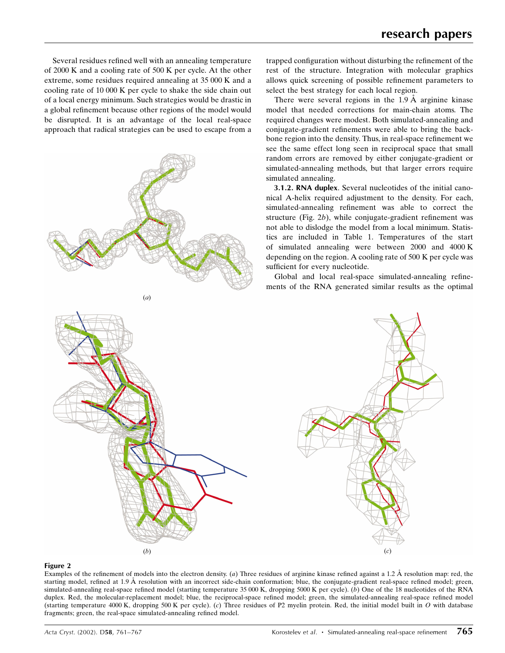Several residues refined well with an annealing temperature of 2000 K and a cooling rate of 500 K per cycle. At the other extreme, some residues required annealing at 35 000 K and a cooling rate of 10 000 K per cycle to shake the side chain out of a local energy minimum. Such strategies would be drastic in a global refinement because other regions of the model would be disrupted. It is an advantage of the local real-space approach that radical strategies can be used to escape from a



trapped configuration without disturbing the refinement of the rest of the structure. Integration with molecular graphics allows quick screening of possible refinement parameters to select the best strategy for each local region.

There were several regions in the  $1.9 \text{ Å}$  arginine kinase model that needed corrections for main-chain atoms. The required changes were modest. Both simulated-annealing and conjugate-gradient refinements were able to bring the backbone region into the density. Thus, in real-space refinement we see the same effect long seen in reciprocal space that small random errors are removed by either conjugate-gradient or simulated-annealing methods, but that larger errors require simulated annealing.

3.1.2. RNA duplex. Several nucleotides of the initial canonical A-helix required adjustment to the density. For each, simulated-annealing refinement was able to correct the structure (Fig.  $2b$ ), while conjugate-gradient refinement was not able to dislodge the model from a local minimum. Statistics are included in Table 1. Temperatures of the start of simulated annealing were between 2000 and 4000 K depending on the region. A cooling rate of 500 K per cycle was sufficient for every nucleotide.

Global and local real-space simulated-annealing refinements of the RNA generated similar results as the optimal



#### Figure 2

Examples of the refinement of models into the electron density. (a) Three residues of arginine kinase refined against a 1.2 Å resolution map: red, the starting model, refined at 1.9 Å resolution with an incorrect side-chain conformation; blue, the conjugate-gradient real-space refined model; green, simulated-annealing real-space refined model (starting temperature 35 000 K, dropping 5000 K per cycle). (b) One of the 18 nucleotides of the RNA duplex. Red, the molecular-replacement model; blue, the reciprocal-space refined model; green, the simulated-annealing real-space refined model (starting temperature 4000 K, dropping 500 K per cycle). (c) Three residues of P2 myelin protein. Red, the initial model built in O with database fragments; green, the real-space simulated-annealing refined model.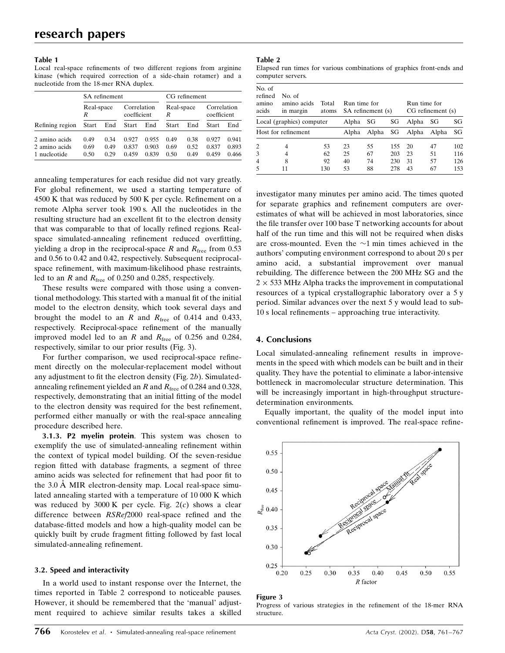#### Table 1

Local real-space refinements of two different regions from arginine kinase (which required correction of a side-chain rotamer) and a nucleotide from the 18-mer RNA duplex.

|                 |                 | SA refinement |                            |       | CG refinement   |      |                            |       |  |
|-----------------|-----------------|---------------|----------------------------|-------|-----------------|------|----------------------------|-------|--|
|                 | Real-space<br>R |               | Correlation<br>coefficient |       | Real-space<br>R |      | Correlation<br>coefficient |       |  |
| Refining region | Start           | End           | Start                      | End   | Start           | End  | Start                      | End   |  |
| 2 amino acids   | 0.49            | 0.34          | 0.927                      | 0.955 | 0.49            | 0.38 | 0.927                      | 0.941 |  |
| 2 amino acids   | 0.69            | 0.49          | 0.837                      | 0.903 | 0.69            | 0.52 | 0.837                      | 0.893 |  |
| 1 nucleotide    | 0.50            | 0.29          | 0.459                      | 0.839 | 0.50            | 0.49 | 0.459                      | 0.466 |  |

annealing temperatures for each residue did not vary greatly. For global refinement, we used a starting temperature of  $4500$  K that was reduced by  $500$  K per cycle. Refinement on a remote Alpha server took 190 s. All the nucleotides in the resulting structure had an excellent fit to the electron density that was comparable to that of locally refined regions. Realspace simulated-annealing refinement reduced overfitting, yielding a drop in the reciprocal-space  $R$  and  $R_{\text{free}}$  from 0.53 and 0.56 to 0.42 and 0.42, respectively. Subsequent reciprocalspace refinement, with maximum-likelihood phase restraints, led to an R and  $R_{\text{free}}$  of 0.250 and 0.285, respectively.

These results were compared with those using a conventional methodology. This started with a manual fit of the initial model to the electron density, which took several days and brought the model to an R and  $R_{\text{free}}$  of 0.414 and 0.433, respectively. Reciprocal-space refinement of the manually improved model led to an R and  $R_{\text{free}}$  of 0.256 and 0.284, respectively, similar to our prior results (Fig. 3).

For further comparison, we used reciprocal-space refinement directly on the molecular-replacement model without any adjustment to fit the electron density (Fig.  $2b$ ). Simulatedannealing refinement yielded an R and  $R_{\text{free}}$  of 0.284 and 0.328, respectively, demonstrating that an initial fitting of the model to the electron density was required for the best refinement, performed either manually or with the real-space annealing procedure described here.

3.1.3. P2 myelin protein. This system was chosen to exemplify the use of simulated-annealing refinement within the context of typical model building. Of the seven-residue region fitted with database fragments, a segment of three amino acids was selected for refinement that had poor fit to the  $3.0 \text{ Å}$  MIR electron-density map. Local real-space simulated annealing started with a temperature of 10 000 K which was reduced by  $3000 \text{ K}$  per cycle. Fig.  $2(c)$  shows a clear difference between  $RSRef2000$  real-space refined and the database-fitted models and how a high-quality model can be quickly built by crude fragment fitting followed by fast local simulated-annealing refinement.

#### 3.2. Speed and interactivity

In a world used to instant response over the Internet, the times reported in Table 2 correspond to noticeable pauses. However, it should be remembered that the 'manual' adjustment required to achieve similar results takes a skilled

#### Table 2

|                   |  |  |  |  | Elapsed run times for various combinations of graphics front-ends and |  |  |  |
|-------------------|--|--|--|--|-----------------------------------------------------------------------|--|--|--|
| computer servers. |  |  |  |  |                                                                       |  |  |  |

| No. of<br>refined<br>amino<br>acids | No. of<br>amino acids<br>in margin | Total<br>atoms | Run time for | SA refinement (s) |            | Run time for<br>CG refinement (s) |          |            |  |
|-------------------------------------|------------------------------------|----------------|--------------|-------------------|------------|-----------------------------------|----------|------------|--|
|                                     | Local (graphics) computer          | Alpha          | SG           | SG                | Alpha      | SG                                | SG       |            |  |
| Host for refinement                 |                                    |                | Alpha        | Alpha             | SG         | Alpha                             | Alpha    | SG         |  |
| 2<br>3                              | 4<br>4                             | 53<br>62       | 23<br>25     | 55<br>67          | 155<br>203 | 20<br>23                          | 47<br>51 | 102<br>116 |  |
| 4                                   | 8                                  | 92             | 40           | 74                | 230        | 31                                | 57       | 126        |  |
|                                     | 11                                 | 130            | 53           | 88                | 278        | 43                                | 67       | 153        |  |

investigator many minutes per amino acid. The times quoted for separate graphics and refinement computers are overestimates of what will be achieved in most laboratories, since the file transfer over 100 base T networking accounts for about half of the run time and this will not be required when disks are cross-mounted. Even the  $\sim$ 1 min times achieved in the authors' computing environment correspond to about 20 s per amino acid, a substantial improvement over manual rebuilding. The difference between the 200 MHz SG and the  $2 \times 533$  MHz Alpha tracks the improvement in computational resources of a typical crystallographic laboratory over a 5 y period. Similar advances over the next 5 y would lead to sub- $10$  s local refinements  $-$  approaching true interactivity.

## 4. Conclusions

Local simulated-annealing refinement results in improvements in the speed with which models can be built and in their quality. They have the potential to eliminate a labor-intensive bottleneck in macromolecular structure determination. This will be increasingly important in high-throughput structuredetermination environments.

Equally important, the quality of the model input into conventional refinement is improved. The real-space refine-



#### Figure 3

Progress of various strategies in the refinement of the 18-mer RNA structure.